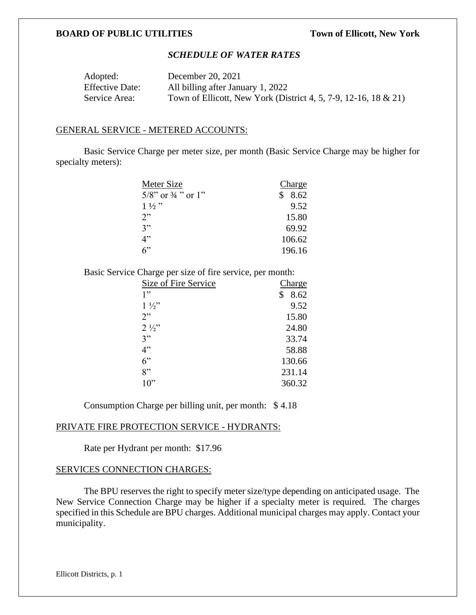## **BOARD OF PUBLIC UTILITIES Town of Ellicott, New York**

# *SCHEDULE OF WATER RATES*

| Adopted:               | December 20, 2021                                               |
|------------------------|-----------------------------------------------------------------|
| <b>Effective Date:</b> | All billing after January 1, 2022                               |
| Service Area:          | Town of Ellicott, New York (District 4, 5, 7-9, 12-16, 18 & 21) |

#### GENERAL SERVICE - METERED ACCOUNTS:

Basic Service Charge per meter size, per month (Basic Service Charge may be higher for specialty meters):

| Meter Size                       | Charge     |
|----------------------------------|------------|
| $5/8$ " or $\frac{3}{4}$ " or 1" | 8.62<br>\$ |
| $1\frac{1}{2}$                   | 9.52       |
| 2"                               | 15.80      |
| 3"                               | 69.92      |
| 4"                               | 106.62     |
| 6                                | 196.16     |

Basic Service Charge per size of fire service, per month:

| Size of Fire Service | <b>Charge</b> |
|----------------------|---------------|
| 1"                   | 8.62<br>\$    |
| $1\frac{1}{2}$       | 9.52          |
| 2"                   | 15.80         |
| $2\frac{1}{2}$       | 24.80         |
| 3"                   | 33.74         |
| 4"                   | 58.88         |
| 6"                   | 130.66        |
| 8"                   | 231.14        |
| 10"                  | 360.32        |

Consumption Charge per billing unit, per month: \$ 4.18

#### PRIVATE FIRE PROTECTION SERVICE - HYDRANTS:

Rate per Hydrant per month: \$17.96

## SERVICES CONNECTION CHARGES:

The BPU reserves the right to specify meter size/type depending on anticipated usage. The New Service Connection Charge may be higher if a specialty meter is required. The charges specified in this Schedule are BPU charges. Additional municipal charges may apply. Contact your municipality.